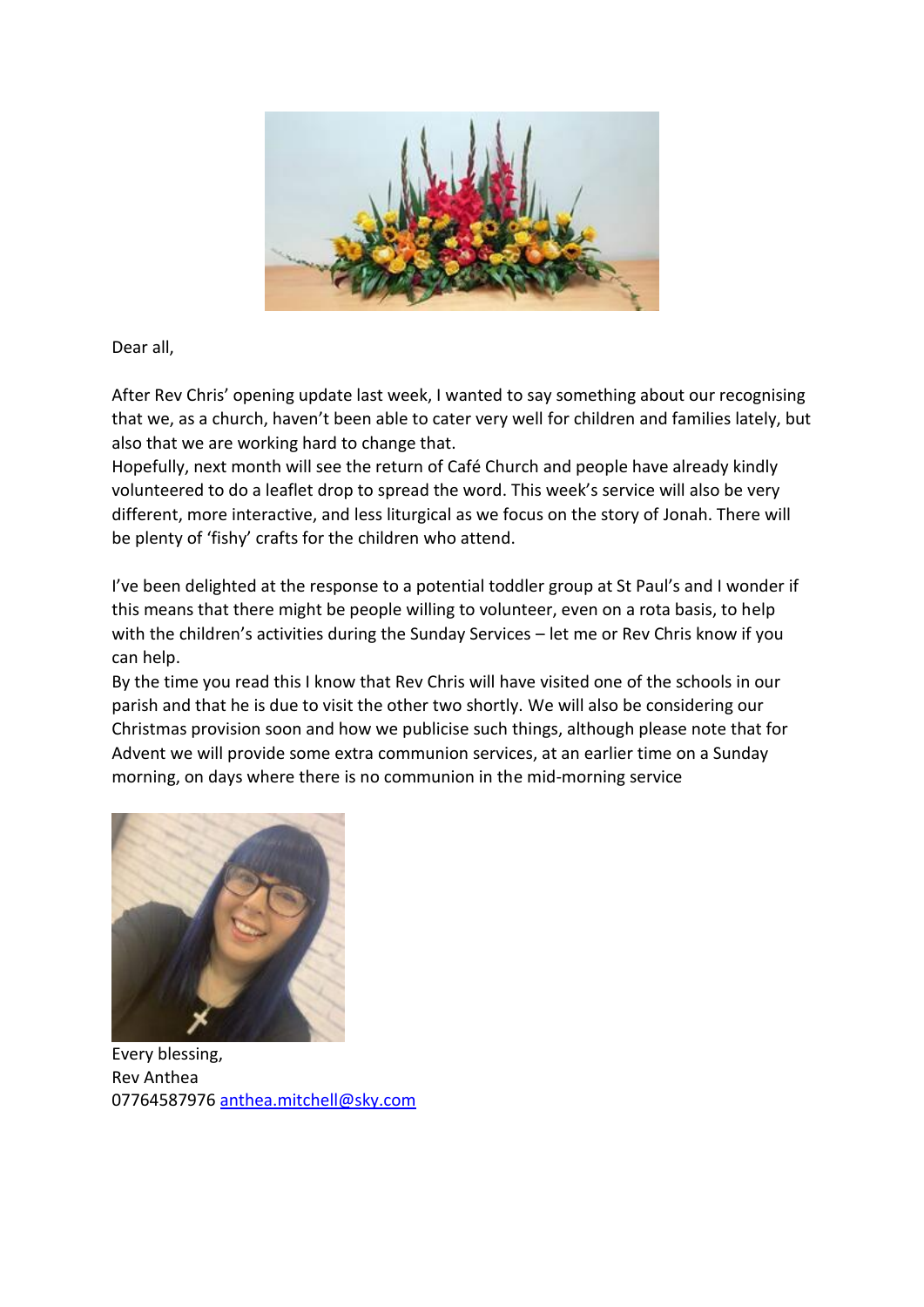

Dear all,

After Rev Chris' opening update last week, I wanted to say something about our recognising that we, as a church, haven't been able to cater very well for children and families lately, but also that we are working hard to change that.

Hopefully, next month will see the return of Café Church and people have already kindly volunteered to do a leaflet drop to spread the word. This week's service will also be very different, more interactive, and less liturgical as we focus on the story of Jonah. There will be plenty of 'fishy' crafts for the children who attend.

I've been delighted at the response to a potential toddler group at St Paul's and I wonder if this means that there might be people willing to volunteer, even on a rota basis, to help with the children's activities during the Sunday Services – let me or Rev Chris know if you can help.

By the time you read this I know that Rev Chris will have visited one of the schools in our parish and that he is due to visit the other two shortly. We will also be considering our Christmas provision soon and how we publicise such things, although please note that for Advent we will provide some extra communion services, at an earlier time on a Sunday morning, on days where there is no communion in the mid-morning service



Every blessing, Rev Anthea 0776458797[6 anthea.mitchell@sky.com](mailto:anthea.mitchell@sky.com)